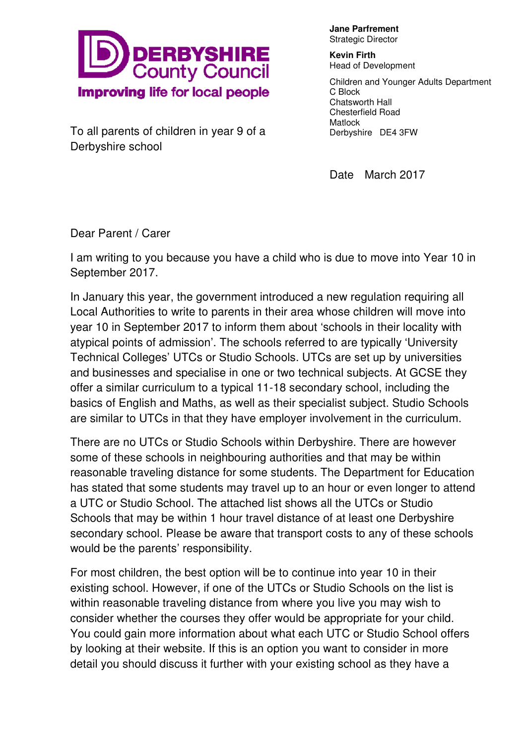

**Jane Parfrement** Strategic Director

**Kevin Firth**  Head of Development

Children and Younger Adults Department C Block Chatsworth Hall Chesterfield Road Matlock Derbyshire DE4 3FW

To all parents of children in year 9 of a Derbyshire school

Date March 2017

Dear Parent / Carer

I am writing to you because you have a child who is due to move into Year 10 in September 2017.

In January this year, the government introduced a new regulation requiring all Local Authorities to write to parents in their area whose children will move into year 10 in September 2017 to inform them about 'schools in their locality with atypical points of admission'. The schools referred to are typically 'University Technical Colleges' UTCs or Studio Schools. UTCs are set up by universities and businesses and specialise in one or two technical subjects. At GCSE they offer a similar curriculum to a typical 11-18 secondary school, including the basics of English and Maths, as well as their specialist subject. Studio Schools are similar to UTCs in that they have employer involvement in the curriculum.

There are no UTCs or Studio Schools within Derbyshire. There are however some of these schools in neighbouring authorities and that may be within reasonable traveling distance for some students. The Department for Education has stated that some students may travel up to an hour or even longer to attend a UTC or Studio School. The attached list shows all the UTCs or Studio Schools that may be within 1 hour travel distance of at least one Derbyshire secondary school. Please be aware that transport costs to any of these schools would be the parents' responsibility.

For most children, the best option will be to continue into year 10 in their existing school. However, if one of the UTCs or Studio Schools on the list is within reasonable traveling distance from where you live you may wish to consider whether the courses they offer would be appropriate for your child. You could gain more information about what each UTC or Studio School offers by looking at their website. If this is an option you want to consider in more detail you should discuss it further with your existing school as they have a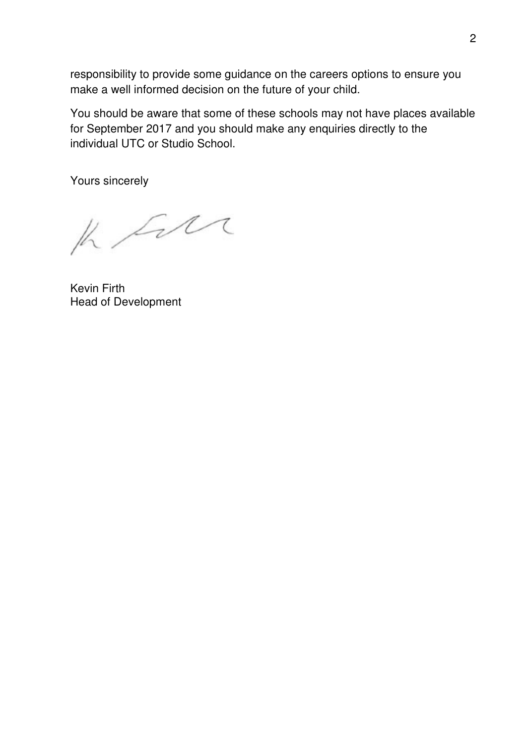responsibility to provide some guidance on the careers options to ensure you make a well informed decision on the future of your child.

You should be aware that some of these schools may not have places available for September 2017 and you should make any enquiries directly to the individual UTC or Studio School.

Yours sincerely

K Sur

Kevin Firth Head of Development